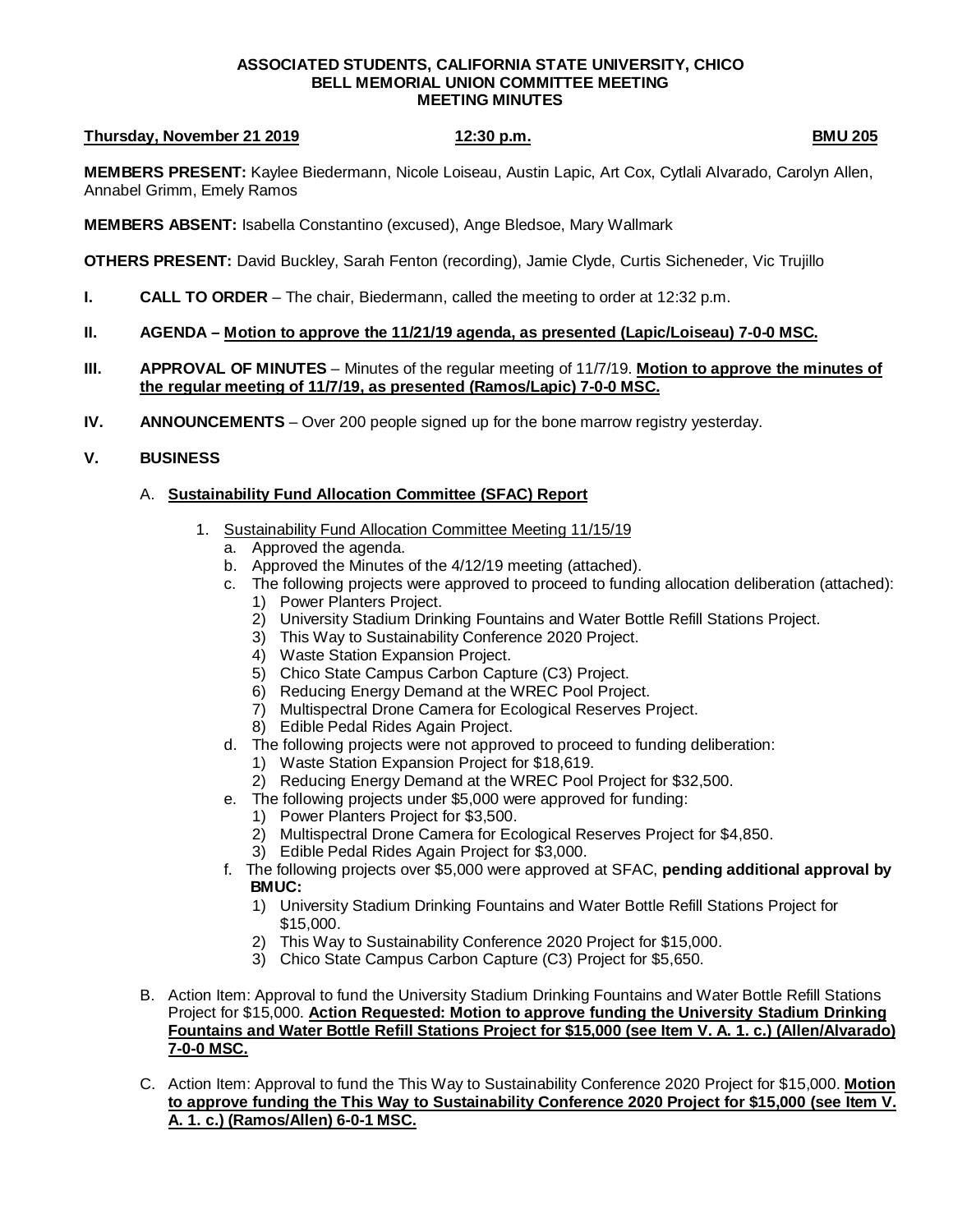### **ASSOCIATED STUDENTS, CALIFORNIA STATE UNIVERSITY, CHICO BELL MEMORIAL UNION COMMITTEE MEETING MEETING MINUTES**

## **Thursday, November 21 2019 12:30 p.m. BMU 205**

**MEMBERS PRESENT:** Kaylee Biedermann, Nicole Loiseau, Austin Lapic, Art Cox, Cytlali Alvarado, Carolyn Allen, Annabel Grimm, Emely Ramos

**MEMBERS ABSENT:** Isabella Constantino (excused), Ange Bledsoe, Mary Wallmark

**OTHERS PRESENT:** David Buckley, Sarah Fenton (recording), Jamie Clyde, Curtis Sicheneder, Vic Trujillo

**I. CALL TO ORDER** – The chair, Biedermann, called the meeting to order at 12:32 p.m.

## **II. AGENDA – Motion to approve the 11/21/19 agenda, as presented (Lapic/Loiseau) 7-0-0 MSC.**

- **III. APPROVAL OF MINUTES** Minutes of the regular meeting of 11/7/19. **Motion to approve the minutes of the regular meeting of 11/7/19, as presented (Ramos/Lapic) 7-0-0 MSC.**
- **IV. ANNOUNCEMENTS** Over 200 people signed up for the bone marrow registry yesterday.

# **V. BUSINESS**

# A. **Sustainability Fund Allocation Committee (SFAC) Report**

- 1. Sustainability Fund Allocation Committee Meeting 11/15/19
	- a. Approved the agenda.
	- b. Approved the Minutes of the 4/12/19 meeting (attached).
	- c. The following projects were approved to proceed to funding allocation deliberation (attached):
		- 1) Power Planters Project.
		- 2) University Stadium Drinking Fountains and Water Bottle Refill Stations Project.
		- 3) This Way to Sustainability Conference 2020 Project.
		- 4) Waste Station Expansion Project.
		- 5) Chico State Campus Carbon Capture (C3) Project.
		- 6) Reducing Energy Demand at the WREC Pool Project.
		- 7) Multispectral Drone Camera for Ecological Reserves Project.
		- 8) Edible Pedal Rides Again Project.
	- d. The following projects were not approved to proceed to funding deliberation:
		- 1) Waste Station Expansion Project for \$18,619.
		- 2) Reducing Energy Demand at the WREC Pool Project for \$32,500.
	- e. The following projects under \$5,000 were approved for funding:
		- 1) Power Planters Project for \$3,500.
		- 2) Multispectral Drone Camera for Ecological Reserves Project for \$4,850.
		- 3) Edible Pedal Rides Again Project for \$3,000.
	- f. The following projects over \$5,000 were approved at SFAC, **pending additional approval by BMUC:**
		- 1) University Stadium Drinking Fountains and Water Bottle Refill Stations Project for \$15,000.
		- 2) This Way to Sustainability Conference 2020 Project for \$15,000.
		- 3) Chico State Campus Carbon Capture (C3) Project for \$5,650.
- B. Action Item: Approval to fund the University Stadium Drinking Fountains and Water Bottle Refill Stations Project for \$15,000. **Action Requested: Motion to approve funding the University Stadium Drinking Fountains and Water Bottle Refill Stations Project for \$15,000 (see Item V. A. 1. c.) (Allen/Alvarado) 7-0-0 MSC.**
- C. Action Item: Approval to fund the This Way to Sustainability Conference 2020 Project for \$15,000. **Motion to approve funding the This Way to Sustainability Conference 2020 Project for \$15,000 (see Item V. A. 1. c.) (Ramos/Allen) 6-0-1 MSC.**